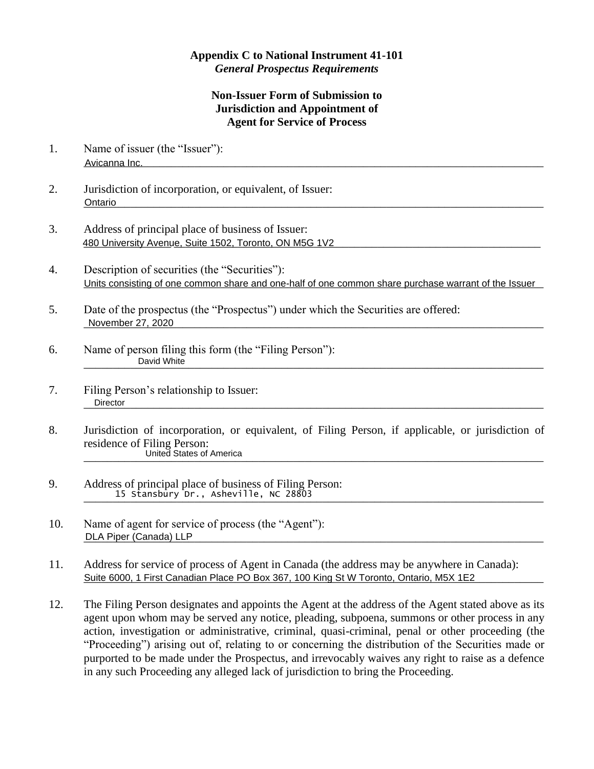## **Appendix C to National Instrument 41-101** *General Prospectus Requirements*

## **Non-Issuer Form of Submission to Jurisdiction and Appointment of Agent for Service of Process**

- 1. Name of issuer (the "Issuer"): \_\_\_\_\_\_\_\_\_\_\_\_\_\_\_\_\_\_\_\_\_\_\_\_\_\_\_\_\_\_\_\_\_\_\_\_\_\_\_\_\_\_\_\_\_\_\_\_\_\_\_\_\_\_\_\_\_\_\_\_\_\_\_\_\_\_\_\_\_\_\_\_\_\_\_\_\_\_\_ Avicanna Inc.
- 2. Jurisdiction of incorporation, or equivalent, of Issuer: \_\_\_\_\_\_\_\_\_\_\_\_\_\_\_\_\_\_\_\_\_\_\_\_\_\_\_\_\_\_\_\_\_\_\_\_\_\_\_\_\_\_\_\_\_\_\_\_\_\_\_\_\_\_\_\_\_\_\_\_\_\_\_\_\_\_\_\_\_\_\_\_\_\_\_\_\_\_\_ Ontario
- 3. Address of principal place of business of Issuer: 480 University Avenue, Suite 1502, Toronto, ON M5G 1V2 **Contained and Contained Avenue Contained and Contained A**
- 4. Description of securities (the "Securities"): Units consisting of one common share and one-half of one common share purchase warrant of the Issuer
- 5. Date of the prospectus (the "Prospectus") under which the Securities are offered: \_\_\_\_\_\_\_\_\_\_\_\_\_\_\_\_\_\_\_\_\_\_\_\_\_\_\_\_\_\_\_\_\_\_\_\_\_\_\_\_\_\_\_\_\_\_\_\_\_\_\_\_\_\_\_\_\_\_\_\_\_\_\_\_\_\_\_\_\_\_\_\_\_\_\_\_\_\_\_ November 27, 2020
- 6. Name of person filing this form (the "Filing Person"): \_\_\_\_\_\_\_\_\_\_\_\_\_\_\_\_\_\_\_\_\_\_\_\_\_\_\_\_\_\_\_\_\_\_\_\_\_\_\_\_\_\_\_\_\_\_\_\_\_\_\_\_\_\_\_\_\_\_\_\_\_\_\_\_\_\_\_\_\_\_\_\_\_\_\_\_\_\_\_ David White
- 7. Filing Person's relationship to Issuer: \_\_\_\_\_\_\_\_\_\_\_\_\_\_\_\_\_\_\_\_\_\_\_\_\_\_\_\_\_\_\_\_\_\_\_\_\_\_\_\_\_\_\_\_\_\_\_\_\_\_\_\_\_\_\_\_\_\_\_\_\_\_\_\_\_\_\_\_\_\_\_\_\_\_\_\_\_\_\_ **Director**
- 8. Jurisdiction of incorporation, or equivalent, of Filing Person, if applicable, or jurisdiction of residence of Filing Person: \_\_\_\_\_\_\_\_\_\_\_\_\_\_\_\_\_\_\_\_\_\_\_\_\_\_\_\_\_\_\_\_\_\_\_\_\_\_\_\_\_\_\_\_\_\_\_\_\_\_\_\_\_\_\_\_\_\_\_\_\_\_\_\_\_\_\_\_\_\_\_\_\_\_\_\_\_\_\_ United States of America
- 9. Address of principal place of business of Filing Person: \_\_\_\_\_\_\_\_\_\_\_\_\_\_\_\_\_\_\_\_\_\_\_\_\_\_\_\_\_\_\_\_\_\_\_\_\_\_\_\_\_\_\_\_\_\_\_\_\_\_\_\_\_\_\_\_\_\_\_\_\_\_\_\_\_\_\_\_\_\_\_\_\_\_\_\_\_\_\_ 15 Stansbury Dr., Asheville, NC 28803
- 10. Name of agent for service of process (the "Agent"): \_\_\_\_\_\_\_\_\_\_\_\_\_\_\_\_\_\_\_\_\_\_\_\_\_\_\_\_\_\_\_\_\_\_\_\_\_\_\_\_\_\_\_\_\_\_\_\_\_\_\_\_\_\_\_\_\_\_\_\_\_\_\_\_\_\_\_\_\_\_\_\_\_\_\_\_\_\_\_ DLA Piper (Canada) LLP
- 11. Address for service of process of Agent in Canada (the address may be anywhere in Canada): Suite 6000, 1 First Canadian Place PO Box 367, 100 King St W Toronto, Ontario, M5X 1E2
- 12. The Filing Person designates and appoints the Agent at the address of the Agent stated above as its agent upon whom may be served any notice, pleading, subpoena, summons or other process in any action, investigation or administrative, criminal, quasi-criminal, penal or other proceeding (the "Proceeding") arising out of, relating to or concerning the distribution of the Securities made or purported to be made under the Prospectus, and irrevocably waives any right to raise as a defence in any such Proceeding any alleged lack of jurisdiction to bring the Proceeding.